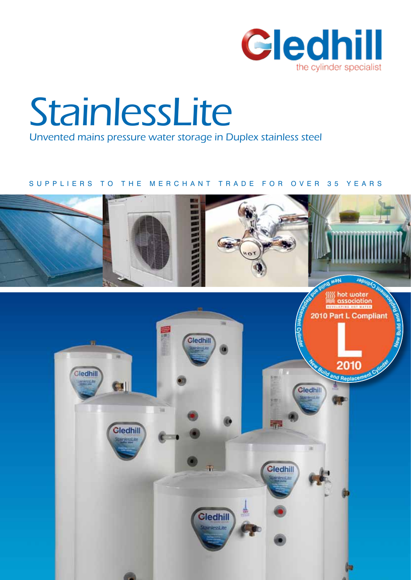

# StainlessLite

Unvented mains pressure water storage in Duplex stainless steel

### SUPPLIERS TO THE MERCHANT TRADE FOR OVER 35 YEARS

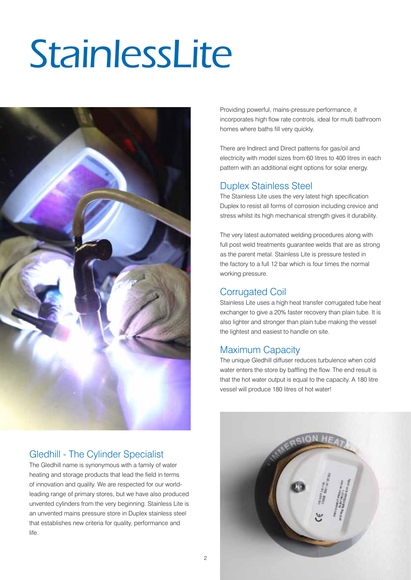# StainlessLite



### Gledhill - The Cylinder Specialist

The Gledhill name is synonymous with a family of water heating and storage products that lead the field in terms of innovation and quality. We are respected for our worldleading range of primary stores, but we have also produced unvented cylinders from the very beginning. Stainless Lite is an unvented mains pressure store in Duplex stainless steel that establishes new criteria for quality, performance and life.

Providing powerful, mains-pressure performance, it incorporates high flow rate controls, ideal for multi bathroom homes where baths fill very quickly.

There are Indirect and Direct patterns for gas/oil and electricity with model sizes from 60 litres to 400 litres in each pattern with an additional eight options for solar energy.

### Duplex Stainless Steel

The Stainless Lite uses the very latest high specification Duplex to resist all forms of corrosion including crevice and stress whilst its high mechanical strength gives it durability.

The very latest automated welding procedures along with full post weld treatments guarantee welds that are as strong as the parent metal. Stainless Lite is pressure tested in the factory to a full 12 bar which is four times the normal working pressure.

### Corrugated Coil

Stainless Lite uses a high heat transfer corrugated tube heat exchanger to give a 20% faster recovery than plain tube. It is also lighter and stronger than plain tube making the vessel the lightest and easiest to handle on site.

### Maximum Capacity

The unique Gledhill diffuser reduces turbulence when cold water enters the store by baffling the flow. The end result is that the hot water output is equal to the capacity. A 180 litre vessel will produce 180 litres of hot water!

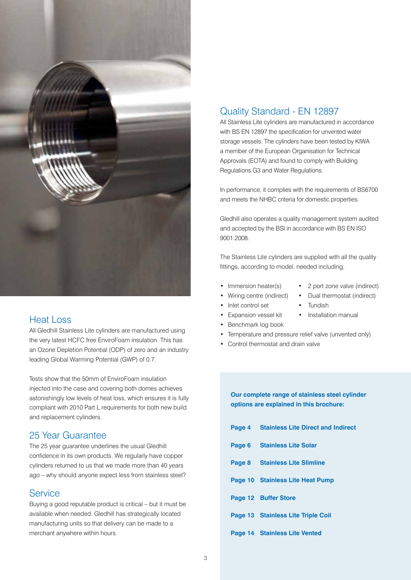

### Heat Loss

All Gledhill Stainless Lite cylinders are manufactured using the very latest HCFC free EnviroFoam insulation. This has an Ozone Depletion Potential (ODP) of zero and an industry leading Global Warming Potential (GWP) of 0.7.

Tests show that the 50mm of EnviroFoam insulation injected into the case and covering both domes achieves astonishingly low levels of heat loss, which ensures it is fully compliant with 2010 Part L requirements for both new build and replacement cylinders.

### 25 Year Guarantee

The 25 year guarantee underlines the usual Gledhill confidence in its own products. We regularly have copper cylinders returned to us that we made more than 40 years ago – why should anyone expect less from stainless steel?

### **Service**

Buying a good reputable product is critical – but it must be available when needed. Gledhill has strategically located manufacturing units so that delivery can be made to a merchant anywhere within hours.

# Quality Standard - EN 12897

All Stainless Lite cylinders are manufactured in accordance with BS EN 12897 the specification for unvented water storage vessels. The cylinders have been tested by KIWA a member of the European Organisation for Technical Approvals (EOTA) and found to comply with Building Regulations G3 and Water Regulations.

In performance, it complies with the requirements of BS6700 and meets the NHBC criteria for domestic properties.

Gledhill also operates a quality management system audited and accepted by the BSI in accordance with BS EN ISO 9001:2008.

The Stainless Lite cylinders are supplied with all the quality fittings, according to model, needed including;

- Immersion heater(s) 2 port zone valve (indirect)
- Wiring centre (indirect) Dual thermostat (indirect)
- Inlet control set Tundish
- Expansion vessel kit Installation manual
- Benchmark log book
- Temperature and pressure relief valve (unvented only)
- Control thermostat and drain valve

**Our complete range of stainless steel cylinder options are explained in this brochure:**

| <b>Page 4 Stainless Lite Direct and Indirect</b> |
|--------------------------------------------------|
| Page 6 Stainless Lite Solar                      |
| <b>Page 8 Stainless Lite Slimline</b>            |
| Page 10 Stainless Lite Heat Pump                 |
| Page 12 Buffer Store                             |
| Page 13 Stainless Lite Triple Coil               |
| <b>Page 14 Stainless Lite Vented</b>             |

 $\overline{a}$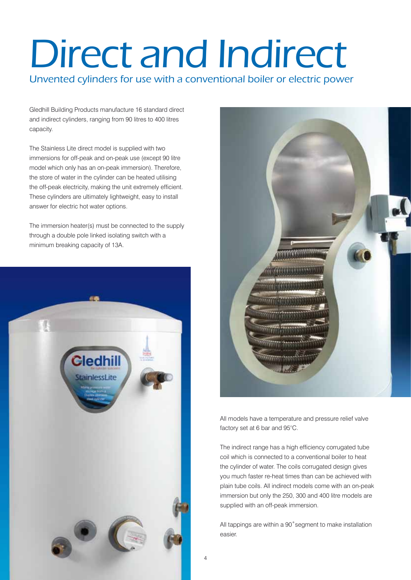# Direct and Indirect

Unvented cylinders for use with a conventional boiler or electric power

Gledhill Building Products manufacture 16 standard direct and indirect cylinders, ranging from 90 litres to 400 litres capacity.

The Stainless Lite direct model is supplied with two immersions for off-peak and on-peak use (except 90 litre model which only has an on-peak immersion). Therefore, the store of water in the cylinder can be heated utilising the off-peak electricity, making the unit extremely efficient. These cylinders are ultimately lightweight, easy to install answer for electric hot water options.

The immersion heater(s) must be connected to the supply through a double pole linked isolating switch with a minimum breaking capacity of 13A.





All models have a temperature and pressure relief valve factory set at 6 bar and 95°C.

The indirect range has a high efficiency corrugated tube coil which is connected to a conventional boiler to heat the cylinder of water. The coils corrugated design gives you much faster re-heat times than can be achieved with plain tube coils. All indirect models come with an on-peak immersion but only the 250, 300 and 400 litre models are supplied with an off-peak immersion.

All tappings are within a 90˚segment to make installation easier.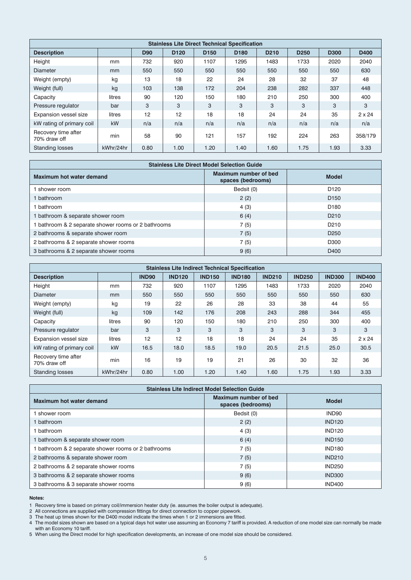| <b>Stainless Lite Direct Technical Specification</b> |           |            |                  |                  |                  |                  |                  |             |               |  |
|------------------------------------------------------|-----------|------------|------------------|------------------|------------------|------------------|------------------|-------------|---------------|--|
| <b>Description</b>                                   |           | <b>D90</b> | D <sub>120</sub> | D <sub>150</sub> | D <sub>180</sub> | D <sub>210</sub> | D <sub>250</sub> | <b>D300</b> | D400          |  |
| Height                                               | mm        | 732        | 920              | 1107             | 1295             | 1483             | 1733             | 2020        | 2040          |  |
| <b>Diameter</b>                                      | mm        | 550        | 550              | 550              | 550              | 550              | 550              | 550         | 630           |  |
| Weight (empty)                                       | kg        | 13         | 18               | 22               | 24               | 28               | 32               | 37          | 48            |  |
| Weight (full)                                        | kg        | 103        | 138              | 172              | 204              | 238              | 282              | 337         | 448           |  |
| Capacity                                             | litres    | 90         | 120              | 150              | 180              | 210              | 250              | 300         | 400           |  |
| Pressure regulator                                   | bar       | 3          | 3                | 3                | 3                | 3                | 3                | 3           | 3             |  |
| <b>Expansion vessel size</b>                         | litres    | 12         | 12               | 18               | 18               | 24               | 24               | 35          | $2 \times 24$ |  |
| kW rating of primary coil                            | kW        | n/a        | n/a              | n/a              | n/a              | n/a              | n/a              | n/a         | n/a           |  |
| Recovery time after<br>70% draw off                  | min       | 58         | 90               | 121              | 157              | 192              | 224              | 263         | 358/179       |  |
| <b>Standing losses</b>                               | kWhr/24hr | 0.80       | 1.00             | 1.20             | 1.40             | 1.60             | 1.75             | 1.93        | 3.33          |  |

| <b>Stainless Lite Direct Model Selection Guide</b>  |                                            |                  |  |  |  |  |  |  |  |
|-----------------------------------------------------|--------------------------------------------|------------------|--|--|--|--|--|--|--|
| Maximum hot water demand                            | Maximum number of bed<br>spaces (bedrooms) | <b>Model</b>     |  |  |  |  |  |  |  |
| shower room                                         | Bedsit (0)                                 | D <sub>120</sub> |  |  |  |  |  |  |  |
| l bathroom                                          | 2(2)                                       | D <sub>150</sub> |  |  |  |  |  |  |  |
| bathroom                                            | 4(3)                                       | D <sub>180</sub> |  |  |  |  |  |  |  |
| 1 bathroom & separate shower room                   | 6(4)                                       | D <sub>210</sub> |  |  |  |  |  |  |  |
| I bathroom & 2 separate shower rooms or 2 bathrooms | 7(5)                                       | D <sub>210</sub> |  |  |  |  |  |  |  |
| 2 bathrooms & separate shower room                  | 7(5)                                       | D <sub>250</sub> |  |  |  |  |  |  |  |
| 2 bathrooms & 2 separate shower rooms               | 7(5)                                       | D300             |  |  |  |  |  |  |  |
| 3 bathrooms & 2 separate shower rooms               | 9(6)                                       | D400             |  |  |  |  |  |  |  |

| <b>Stainless Lite Indirect Technical Specification</b> |           |              |               |               |               |               |               |               |               |  |
|--------------------------------------------------------|-----------|--------------|---------------|---------------|---------------|---------------|---------------|---------------|---------------|--|
| <b>Description</b>                                     |           | <b>IND90</b> | <b>IND120</b> | <b>IND150</b> | <b>IND180</b> | <b>IND210</b> | <b>IND250</b> | <b>IND300</b> | <b>IND400</b> |  |
| Height                                                 | mm        | 732          | 920           | 1107          | 1295          | 1483          | 1733          | 2020          | 2040          |  |
| <b>Diameter</b>                                        | mm        | 550          | 550           | 550           | 550           | 550           | 550           | 550           | 630           |  |
| Weight (empty)                                         | kg        | 19           | 22            | 26            | 28            | 33            | 38            | 44            | 55            |  |
| Weight (full)                                          | kg        | 109          | 142           | 176           | 208           | 243           | 288           | 344           | 455           |  |
| Capacity                                               | litres    | 90           | 120           | 150           | 180           | 210           | 250           | 300           | 400           |  |
| Pressure regulator                                     | bar       | 3            | 3             | 3             | 3             | 3             | 3             | 3             | 3             |  |
| <b>Expansion vessel size</b>                           | litres    | 12           | 12            | 18            | 18            | 24            | 24            | 35            | $2 \times 24$ |  |
| kW rating of primary coil                              | kW        | 16.5         | 18.0          | 18.5          | 19.0          | 20.5          | 21.5          | 25.0          | 30.5          |  |
| Recovery time after<br>70% draw off                    | min       | 16           | 19            | 19            | 21            | 26            | 30            | 32            | 36            |  |
| <b>Standing losses</b>                                 | kWhr/24hr | 0.80         | 1.00          | 1.20          | 1.40          | 1.60          | 1.75          | 1.93          | 3.33          |  |

| <b>Stainless Lite Indirect Model Selection Guide</b> |                                            |               |  |  |  |  |  |  |  |
|------------------------------------------------------|--------------------------------------------|---------------|--|--|--|--|--|--|--|
| Maximum hot water demand                             | Maximum number of bed<br>spaces (bedrooms) | <b>Model</b>  |  |  |  |  |  |  |  |
| shower room                                          | Bedsit (0)                                 | IND90         |  |  |  |  |  |  |  |
| bathroom                                             | 2(2)                                       | <b>IND120</b> |  |  |  |  |  |  |  |
| bathroom                                             | 4(3)                                       | <b>IND120</b> |  |  |  |  |  |  |  |
| I bathroom & separate shower room                    | 6(4)                                       | <b>IND150</b> |  |  |  |  |  |  |  |
| 1 bathroom & 2 separate shower rooms or 2 bathrooms  | 7(5)                                       | <b>IND180</b> |  |  |  |  |  |  |  |
| 2 bathrooms & separate shower room                   | 7(5)                                       | <b>IND210</b> |  |  |  |  |  |  |  |
| 2 bathrooms & 2 separate shower rooms                | 7(5)                                       | <b>IND250</b> |  |  |  |  |  |  |  |
| 3 bathrooms & 2 separate shower rooms                | 9(6)                                       | <b>IND300</b> |  |  |  |  |  |  |  |
| 3 bathrooms & 3 separate shower rooms                | 9(6)                                       | <b>IND400</b> |  |  |  |  |  |  |  |

1 Recovery time is based on primary coil/immersion heater duty (ie. assumes the boiler output is adequate).

2 All connections are supplied with compression fittings for direct connection to copper pipework.

3 The heat up times shown for the D400 model indicate the times when 1 or 2 immersions are fitted.

4 The model sizes shown are based on a typical days hot water use assuming an Economy 7 tariff is provided. A reduction of one model size can normally be made with an Economy 10 tariff.

5 When using the Direct model for high specification developments, an increase of one model size should be considered.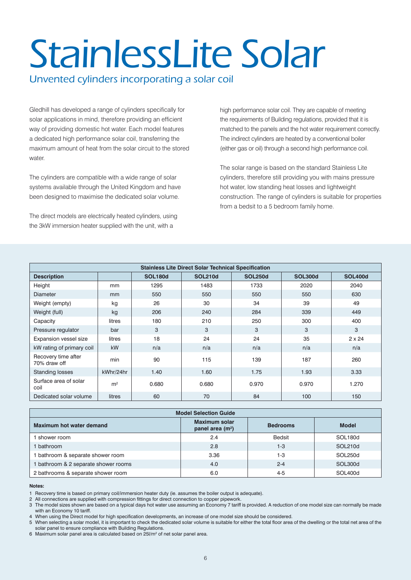# StainlessLite Solar

Unvented cylinders incorporating a solar coil

Gledhill has developed a range of cylinders specifically for solar applications in mind, therefore providing an efficient way of providing domestic hot water. Each model features a dedicated high performance solar coil, transferring the maximum amount of heat from the solar circuit to the stored water.

The cylinders are compatible with a wide range of solar systems available through the United Kingdom and have been designed to maximise the dedicated solar volume.

The direct models are electrically heated cylinders, using the 3kW immersion heater supplied with the unit, with a

high performance solar coil. They are capable of meeting the requirements of Building regulations, provided that it is matched to the panels and the hot water requirement correctly. The indirect cylinders are heated by a conventional boiler (either gas or oil) through a second high performance coil.

The solar range is based on the standard Stainless Lite cylinders, therefore still providing you with mains pressure hot water, low standing heat losses and lightweight construction. The range of cylinders is suitable for properties from a bedsit to a 5 bedroom family home.

| <b>Stainless Lite Direct Solar Technical Specification</b> |                |                                                                                 |       |       |       |               |  |  |  |  |
|------------------------------------------------------------|----------------|---------------------------------------------------------------------------------|-------|-------|-------|---------------|--|--|--|--|
| <b>Description</b>                                         |                | <b>SOL180d</b><br><b>SOL210d</b><br><b>SOL250d</b><br>SOL300d<br><b>SOL400d</b> |       |       |       |               |  |  |  |  |
| Height                                                     | mm             | 1295                                                                            | 1483  | 1733  | 2020  | 2040          |  |  |  |  |
| <b>Diameter</b>                                            | mm             | 550                                                                             | 550   | 550   | 550   | 630           |  |  |  |  |
| Weight (empty)                                             | kg             | 26                                                                              | 30    | 34    | 39    | 49            |  |  |  |  |
| Weight (full)                                              | kg             | 206                                                                             | 240   | 284   | 339   | 449           |  |  |  |  |
| Capacity                                                   | litres         | 180                                                                             | 210   | 250   | 300   | 400           |  |  |  |  |
| Pressure regulator                                         | bar            | 3                                                                               | 3     | 3     | 3     | 3             |  |  |  |  |
| Expansion vessel size                                      | litres         | 18                                                                              | 24    | 24    | 35    | $2 \times 24$ |  |  |  |  |
| kW rating of primary coil                                  | kW             | n/a                                                                             | n/a   | n/a   | n/a   | n/a           |  |  |  |  |
| Recovery time after<br>70% draw off                        | min            | 90                                                                              | 115   | 139   | 187   | 260           |  |  |  |  |
| <b>Standing losses</b>                                     | kWhr/24hr      | 1.40                                                                            | 1.60  | 1.75  | 1.93  | 3.33          |  |  |  |  |
| Surface area of solar<br>coil                              | m <sup>2</sup> | 0.680                                                                           | 0.680 | 0.970 | 0.970 | 1.270         |  |  |  |  |
| Dedicated solar volume                                     | litres         | 60                                                                              | 70    | 84    | 100   | 150           |  |  |  |  |

| <b>Model Selection Guide</b>       |                                                      |                 |                     |  |  |  |  |  |  |
|------------------------------------|------------------------------------------------------|-----------------|---------------------|--|--|--|--|--|--|
| <b>Maximum hot water demand</b>    | <b>Maximum solar</b><br>panel area (m <sup>2</sup> ) | <b>Bedrooms</b> | <b>Model</b>        |  |  |  |  |  |  |
| shower room                        | 2.4                                                  | <b>Bedsit</b>   | SOL <sub>180d</sub> |  |  |  |  |  |  |
| bathroom                           | 2.8                                                  | $1-3$           | SOL210d             |  |  |  |  |  |  |
| bathroom & separate shower room    | 3.36                                                 | $1-3$           | SOL250d             |  |  |  |  |  |  |
| bathroom & 2 separate shower rooms | 4.0                                                  | $2 - 4$         | SOL300d             |  |  |  |  |  |  |
| 2 bathrooms & separate shower room | 6.0                                                  | $4 - 5$         | SOL400d             |  |  |  |  |  |  |

#### **Notes:**

1 Recovery time is based on primary coil/immersion heater duty (ie. assumes the boiler output is adequate).

2 All connections are supplied with compression fittings for direct connection to copper pipework.

3 The model sizes shown are based on a typical days hot water use assuming an Economy 7 tariff is provided. A reduction of one model size can normally be made with an Economy 10 tariff.

4 When using the Direct model for high specification developments, an increase of one model size should be considered.

5 When selecting a solar model, it is important to check the dedicated solar volume is suitable for either the total floor area of the dwelling or the total net area of the solar panel to ensure compliance with Building Regulations.

6 Maximum solar panel area is calculated based on  $25$ / $/m<sup>2</sup>$  of net solar panel area.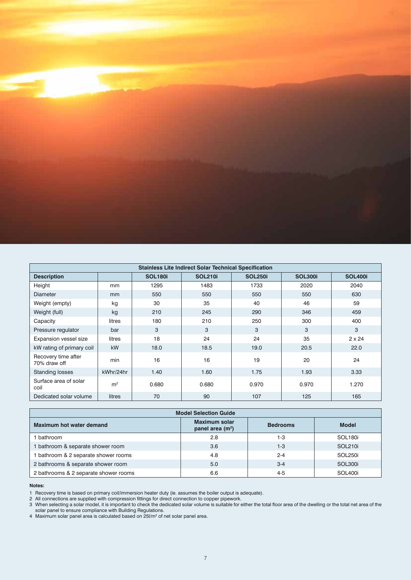

| <b>Stainless Lite Indirect Solar Technical Specification</b> |                |                |                |                |                |                |  |  |  |  |
|--------------------------------------------------------------|----------------|----------------|----------------|----------------|----------------|----------------|--|--|--|--|
| <b>Description</b>                                           |                | <b>SOL180i</b> | <b>SOL210i</b> | <b>SOL250i</b> | <b>SOL300i</b> | <b>SOL400i</b> |  |  |  |  |
| Height                                                       | mm             | 1295           | 1483           | 1733           | 2020           | 2040           |  |  |  |  |
| <b>Diameter</b>                                              | mm             | 550            | 550            | 550            | 550            | 630            |  |  |  |  |
| Weight (empty)                                               | kg             | 30             | 35             | 40             | 46             | 59             |  |  |  |  |
| Weight (full)                                                | kg             | 210            | 245            | 290            | 346            | 459            |  |  |  |  |
| Capacity                                                     | litres         | 180            | 210            | 250            | 300            | 400            |  |  |  |  |
| Pressure regulator                                           | bar            | 3              | 3              | 3              | 3              | 3              |  |  |  |  |
| Expansion vessel size                                        | litres         | 18             | 24             | 24             | 35             | $2 \times 24$  |  |  |  |  |
| kW rating of primary coil                                    | kW             | 18.0           | 18.5           | 19.0           | 20.5           | 22.0           |  |  |  |  |
| Recovery time after<br>70% draw off                          | min            | 16             | 16             | 19             | 20             | 24             |  |  |  |  |
| <b>Standing losses</b>                                       | kWhr/24hr      | 1.40           | 1.60           | 1.75           | 1.93           | 3.33           |  |  |  |  |
| Surface area of solar<br>coil                                | m <sup>2</sup> | 0.680          | 0.680          | 0.970          | 0.970          | 1.270          |  |  |  |  |
| Dedicated solar volume                                       | litres         | 70             | 90             | 107            | 125            | 165            |  |  |  |  |

| <b>Model Selection Guide</b>          |                                           |                 |                     |  |  |  |  |  |  |
|---------------------------------------|-------------------------------------------|-----------------|---------------------|--|--|--|--|--|--|
| Maximum hot water demand              | <b>Maximum solar</b><br>panel area $(m2)$ | <b>Bedrooms</b> | <b>Model</b>        |  |  |  |  |  |  |
| bathroom                              | 2.8                                       | 1-3             | SOL <sub>180i</sub> |  |  |  |  |  |  |
| bathroom & separate shower room       | 3.6                                       | $1 - 3$         | SOL210i             |  |  |  |  |  |  |
| 1 bathroom & 2 separate shower rooms  | 4.8                                       | $2 - 4$         | SOL250i             |  |  |  |  |  |  |
| 2 bathrooms & separate shower room    | 5.0                                       | $3 - 4$         | SOL300i             |  |  |  |  |  |  |
| 2 bathrooms & 2 separate shower rooms | 6.6                                       | $4 - 5$         | SOL <sub>400</sub>  |  |  |  |  |  |  |

1 Recovery time is based on primary coil/immersion heater duty (ie. assumes the boiler output is adequate).

2 All connections are supplied with compression fittings for direct connection to copper pipework.

3 When selecting a solar model, it is important to check the dedicated solar volume is suitable for either the total floor area of the dwelling or the total net area of the solar panel to ensure compliance with Building Regulations.

4 Maximum solar panel area is calculated based on  $25$ / $/m<sup>2</sup>$  of net solar panel area.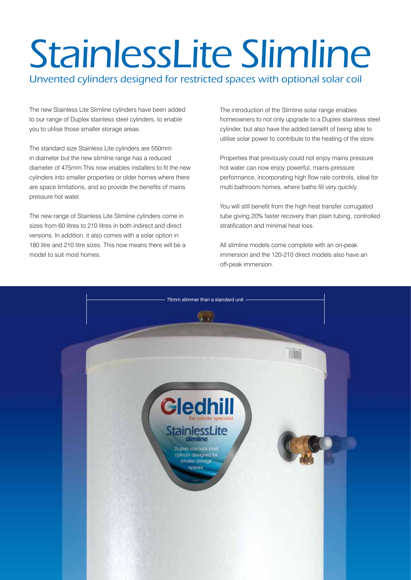# StainlessLite Slimline

Unvented cylinders designed for restricted spaces with optional solar coil

The new Stainless Lite Slimline cylinders have been added to our range of Duplex stainless steel cylinders, to enable you to utilise those smaller storage areas.

The standard size Stainless Lite cylinders are 550mm in diameter but the new slimline range has a reduced diameter of 475mm.This now enables installers to fit the new cylinders into smaller properties or older homes where there are space limitations, and so provide the benefits of mains pressure hot water.

The new range of Stainless Lite Slimline cylinders come in sizes from 60 litres to 210 litres in both indirect and direct versions. In addition, it also comes with a solar option in 180 litre and 210 litre sizes. This now means there will be a model to suit most homes.

The introduction of the Slimline solar range enables homeowners to not only upgrade to a Duplex stainless steel cylinder, but also have the added benefit of being able to utilise solar power to contribute to the heating of the store.

Properties that previously could not enjoy mains pressure hot water can now enjoy powerful, mains-pressure performance, incorporating high flow rate controls, ideal for multi bathroom homes, where baths fill very quickly.

You will still benefit from the high heat transfer corrugated tube giving 20% faster recovery than plain tubing, controlled stratification and minimal heat loss.

All slimline models come complete with an on-peak immersion and the 120-210 direct models also have an off-peak immersion.

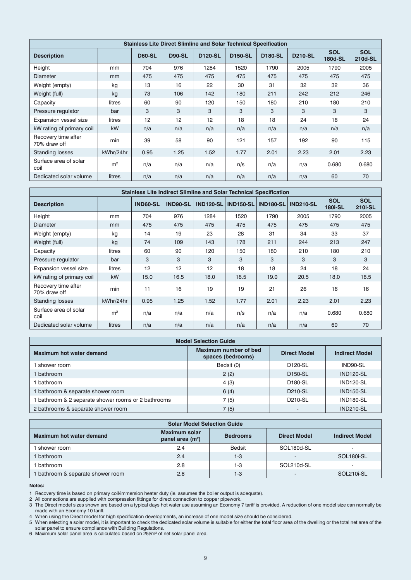| <b>Stainless Lite Direct Slimline and Solar Technical Specification</b> |                |               |               |                |                |                |                |                              |                       |  |
|-------------------------------------------------------------------------|----------------|---------------|---------------|----------------|----------------|----------------|----------------|------------------------------|-----------------------|--|
| <b>Description</b>                                                      |                | <b>D60-SL</b> | <b>D90-SL</b> | <b>D120-SL</b> | <b>D150-SL</b> | <b>D180-SL</b> | <b>D210-SL</b> | <b>SOL</b><br><b>180d-SL</b> | <b>SOL</b><br>210d-SL |  |
| Height                                                                  | mm             | 704           | 976           | 1284           | 1520           | 1790           | 2005           | 1790                         | 2005                  |  |
| <b>Diameter</b>                                                         | mm             | 475           | 475           | 475            | 475            | 475            | 475            | 475                          | 475                   |  |
| Weight (empty)                                                          | kg             | 13            | 16            | 22             | 30             | 31             | 32             | 32                           | 36                    |  |
| Weight (full)                                                           | kg             | 73            | 106           | 142            | 180            | 211            | 242            | 212                          | 246                   |  |
| Capacity                                                                | litres         | 60            | 90            | 120            | 150            | 180            | 210            | 180                          | 210                   |  |
| Pressure regulator                                                      | bar            | 3             | 3             | 3              | 3              | 3              | 3              | 3                            | 3                     |  |
| Expansion vessel size                                                   | litres         | 12            | 12            | 12             | 18             | 18             | 24             | 18                           | 24                    |  |
| kW rating of primary coil                                               | kW             | n/a           | n/a           | n/a            | n/a            | n/a            | n/a            | n/a                          | n/a                   |  |
| Recovery time after<br>70% draw off                                     | min            | 39            | 58            | 90             | 121            | 157            | 192            | 90                           | 115                   |  |
| <b>Standing losses</b>                                                  | kWhr/24hr      | 0.95          | 1.25          | 1.52           | 1.77           | 2.01           | 2.23           | 2.01                         | 2.23                  |  |
| Surface area of solar<br>coil                                           | m <sup>2</sup> | n/a           | n/a           | n/a            | n/s            | n/a            | n/a            | 0.680                        | 0.680                 |  |
| Dedicated solar volume                                                  | litres         | n/a           | n/a           | n/a            | n/a            | n/a            | n/a            | 60                           | 70                    |  |

| <b>Stainless Lite Indirect Slimline and Solar Technical Specification</b> |                |                 |                 |                  |                  |                  |                  |                              |                              |
|---------------------------------------------------------------------------|----------------|-----------------|-----------------|------------------|------------------|------------------|------------------|------------------------------|------------------------------|
| <b>Description</b>                                                        |                | <b>IND60-SL</b> | <b>IND90-SL</b> | <b>IND120-SL</b> | <b>IND150-SL</b> | <b>IND180-SL</b> | <b>IND210-SL</b> | <b>SOL</b><br><b>180i-SL</b> | <b>SOL</b><br><b>210i-SL</b> |
| Height                                                                    | mm             | 704             | 976             | 1284             | 1520             | 1790             | 2005             | 1790                         | 2005                         |
| <b>Diameter</b>                                                           | mm             | 475             | 475             | 475              | 475              | 475              | 475              | 475                          | 475                          |
| Weight (empty)                                                            | kg             | 14              | 19              | 23               | 28               | 31               | 34               | 33                           | 37                           |
| Weight (full)                                                             | kg             | 74              | 109             | 143              | 178              | 211              | 244              | 213                          | 247                          |
| Capacity                                                                  | litres         | 60              | 90              | 120              | 150              | 180              | 210              | 180                          | 210                          |
| Pressure regulator                                                        | bar            | 3               | 3               | 3                | 3                | 3                | 3                | 3                            | 3                            |
| <b>Expansion vessel size</b>                                              | litres         | 12              | 12              | 12               | 18               | 18               | 24               | 18                           | 24                           |
| kW rating of primary coil                                                 | kW             | 15.0            | 16.5            | 18.0             | 18.5             | 19.0             | 20.5             | 18.0                         | 18.5                         |
| Recovery time after<br>70% draw off                                       | min            | 11              | 16              | 19               | 19               | 21               | 26               | 16                           | 16                           |
| <b>Standing losses</b>                                                    | kWhr/24hr      | 0.95            | 1.25            | 1.52             | 1.77             | 2.01             | 2.23             | 2.01                         | 2.23                         |
| Surface area of solar<br>coil                                             | m <sup>2</sup> | n/a             | n/a             | n/a              | n/s              | n/a              | n/a              | 0.680                        | 0.680                        |
| Dedicated solar volume                                                    | litres         | n/a             | n/a             | n/a              | n/a              | n/a              | n/a              | 60                           | 70                           |

| <b>Model Selection Guide</b>                        |                                            |                      |                       |  |  |  |  |  |  |  |
|-----------------------------------------------------|--------------------------------------------|----------------------|-----------------------|--|--|--|--|--|--|--|
| Maximum hot water demand                            | Maximum number of bed<br>spaces (bedrooms) | <b>Direct Model</b>  | <b>Indirect Model</b> |  |  |  |  |  |  |  |
| shower room                                         | Bedsit (0)                                 | D <sub>120</sub> -SI | IND90-SL              |  |  |  |  |  |  |  |
| bathroom                                            | 2(2)                                       | D <sub>150</sub> -SL | <b>IND120-SL</b>      |  |  |  |  |  |  |  |
| bathroom                                            | 4(3)                                       | D <sub>180</sub> -SL | <b>IND120-SL</b>      |  |  |  |  |  |  |  |
| bathroom & separate shower room                     | 6(4)                                       | D <sub>210</sub> -SL | <b>IND150-SL</b>      |  |  |  |  |  |  |  |
| I bathroom & 2 separate shower rooms or 2 bathrooms | 7(5)                                       | D210-SL              | <b>IND180-SL</b>      |  |  |  |  |  |  |  |
| 2 bathrooms & separate shower room                  | 7(5)                                       |                      | <b>IND210-SL</b>      |  |  |  |  |  |  |  |

| <b>Solar Model Selection Guide</b> |                                           |                 |                          |                       |  |  |
|------------------------------------|-------------------------------------------|-----------------|--------------------------|-----------------------|--|--|
| Maximum hot water demand           | <b>Maximum solar</b><br>panel area $(m2)$ | <b>Bedrooms</b> | <b>Direct Model</b>      | <b>Indirect Model</b> |  |  |
| shower room                        | 2.4                                       | <b>Bedsit</b>   | SOL180d-SL               |                       |  |  |
| bathroom                           | 2.4                                       | $1 - 3$         | $\overline{\phantom{a}}$ | SOL180i-SL            |  |  |
| bathroom                           | 2.8                                       | $1 - 3$         | SOI 210d-SI              |                       |  |  |
| bathroom & separate shower room    | 2.8                                       | $1 - 3$         | $\overline{\phantom{a}}$ | SOL210i-SL            |  |  |

1 Recovery time is based on primary coil/immersion heater duty (ie. assumes the boiler output is adequate).

2 All connections are supplied with compression fittings for direct connection to copper pipework.

3 The Direct model sizes shown are based on a typical days hot water use assuming an Economy 7 tariff is provided. A reduction of one model size can normally be made with an Economy 10 tariff.

4 When using the Direct model for high specification developments, an increase of one model size should be considered.

5 When selecting a solar model, it is important to check the dedicated solar volume is suitable for either the total floor area of the dwelling or the total net area of the solar panel to ensure compliance with Building Regulations.

6 Maximum solar panel area is calculated based on  $25$ / $/m<sup>2</sup>$  of net solar panel area.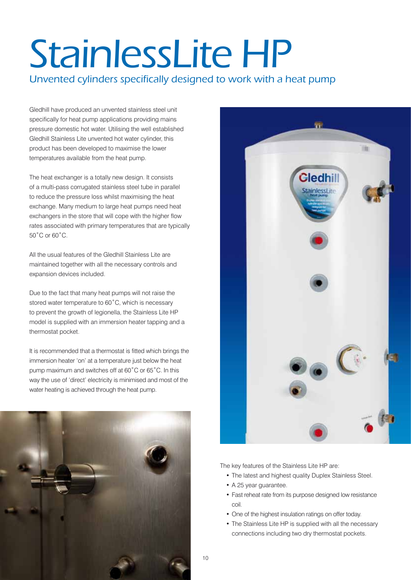# StainlessLite HP

## Unvented cylinders specifically designed to work with a heat pump

Gledhill have produced an unvented stainless steel unit specifically for heat pump applications providing mains pressure domestic hot water. Utilising the well established Gledhill Stainless Lite unvented hot water cylinder, this product has been developed to maximise the lower temperatures available from the heat pump.

The heat exchanger is a totally new design. It consists of a multi-pass corrugated stainless steel tube in parallel to reduce the pressure loss whilst maximising the heat exchange. Many medium to large heat pumps need heat exchangers in the store that will cope with the higher flow rates associated with primary temperatures that are typically 50˚C or 60˚C.

All the usual features of the Gledhill Stainless Lite are maintained together with all the necessary controls and expansion devices included.

Due to the fact that many heat pumps will not raise the stored water temperature to 60˚C, which is necessary to prevent the growth of legionella, the Stainless Lite HP model is supplied with an immersion heater tapping and a thermostat pocket.

It is recommended that a thermostat is fitted which brings the immersion heater 'on' at a temperature just below the heat pump maximum and switches off at 60˚C or 65˚C. In this way the use of 'direct' electricity is minimised and most of the water heating is achieved through the heat pump.





The key features of the Stainless Lite HP are:

- The latest and highest quality Duplex Stainless Steel.
- A 25 year guarantee.
- Fast reheat rate from its purpose designed low resistance coil.
- One of the highest insulation ratings on offer today.
- The Stainless Lite HP is supplied with all the necessary connections including two dry thermostat pockets.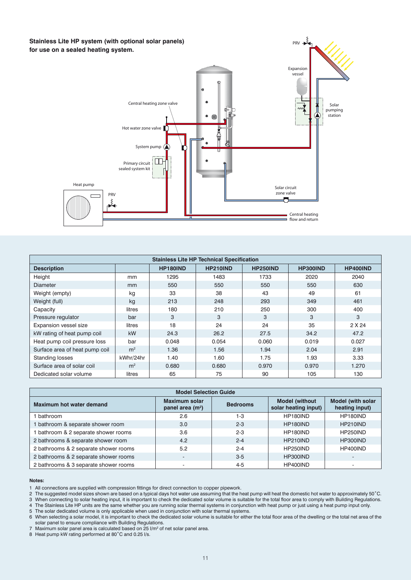

| <b>Stainless Lite HP Technical Specification</b> |                |          |          |                 |          |          |
|--------------------------------------------------|----------------|----------|----------|-----------------|----------|----------|
| <b>Description</b>                               |                | HP180IND | HP210IND | <b>HP250IND</b> | HP300IND | HP400IND |
| Height                                           | mm             | 1295     | 1483     | 1733            | 2020     | 2040     |
| <b>Diameter</b>                                  | mm             | 550      | 550      | 550             | 550      | 630      |
| Weight (empty)                                   | kg             | 33       | 38       | 43              | 49       | 61       |
| Weight (full)                                    | kg             | 213      | 248      | 293             | 349      | 461      |
| Capacity                                         | litres         | 180      | 210      | 250             | 300      | 400      |
| Pressure regulator                               | bar            | 3        | 3        | 3               | 3        | 3        |
| Expansion vessel size                            | litres         | 18       | 24       | 24              | 35       | 2 X 24   |
| kW rating of heat pump coil                      | kW             | 24.3     | 26.2     | 27.5            | 34.2     | 47.2     |
| Heat pump coil pressure loss                     | bar            | 0.048    | 0.054    | 0.060           | 0.019    | 0.027    |
| Surface area of heat pump coil                   | m <sup>2</sup> | 1.36     | 1.56     | 1.94            | 2.04     | 2.91     |
| <b>Standing losses</b>                           | kWhr/24hr      | 1.40     | 1.60     | 1.75            | 1.93     | 3.33     |
| Surface area of solar coil                       | m <sup>2</sup> | 0.680    | 0.680    | 0.970           | 0.970    | 1.270    |
| Dedicated solar volume                           | litres         | 65       | 75       | 90              | 105      | 130      |

| <b>Model Selection Guide</b>          |                                    |                 |                                               |                                            |  |  |
|---------------------------------------|------------------------------------|-----------------|-----------------------------------------------|--------------------------------------------|--|--|
| Maximum hot water demand              | Maximum solar<br>panel area $(m2)$ | <b>Bedrooms</b> | <b>Model (without</b><br>solar heating input) | <b>Model (with solar</b><br>heating input) |  |  |
| bathroom                              | 2.6                                | $1 - 3$         | HP180IND                                      | HP180IND                                   |  |  |
| 1 bathroom & separate shower room     | 3.0                                | $2 - 3$         | HP180IND                                      | HP210IND                                   |  |  |
| bathroom & 2 separate shower rooms    | 3.6                                | $2 - 3$         | HP180IND                                      | HP250IND                                   |  |  |
| 2 bathrooms & separate shower room    | 4.2                                | $2 - 4$         | HP210IND                                      | HP300IND                                   |  |  |
| 2 bathrooms & 2 separate shower rooms | 5.2                                | $2 - 4$         | HP250IND                                      | HP400IND                                   |  |  |
| 2 bathrooms & 2 separate shower rooms | $\overline{a}$                     | $3-5$           | HP300IND                                      |                                            |  |  |
| 2 bathrooms & 3 separate shower rooms |                                    | $4 - 5$         | HP400IND                                      |                                            |  |  |

1 All connections are supplied with compression fittings for direct connection to copper pipework.

2 The suggested model sizes shown are based on a typical days hot water use assuming that the heat pump will heat the domestic hot water to approximately 50˚C.

3 When connecting to solar heating input, it is important to check the dedicated solar volume is suitable for the total floor area to comply with Building Regulations.

4 The Stainless Lite HP units are the same whether you are running solar thermal systems in conjunction with heat pump or just using a heat pump input only. 5 The solar dedicated volume is only applicable when used in conjunction with solar thermal systems.

6 When selecting a solar model, it is important to check the dedicated solar volume is suitable for either the total floor area of the dwelling or the total net area of the solar panel to ensure compliance with Building Regulations.

7 Maximum solar panel area is calculated based on 25 l/m<sup>2</sup> of net solar panel area.

8 Heat pump kW rating performed at 80<sup>°</sup>C and 0.25 l/s.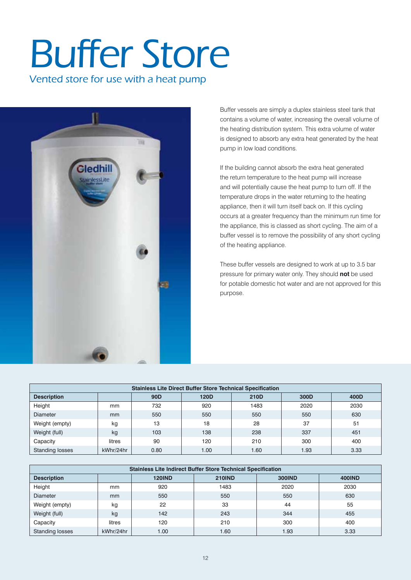# Buffer Store

Vented store for use with a heat pump



Buffer vessels are simply a duplex stainless steel tank that contains a volume of water, increasing the overall volume of the heating distribution system. This extra volume of water is designed to absorb any extra heat generated by the heat pump in low load conditions.

If the building cannot absorb the extra heat generated the return temperature to the heat pump will increase and will potentially cause the heat pump to turn off. If the temperature drops in the water returning to the heating appliance, then it will turn itself back on. If this cycling occurs at a greater frequency than the minimum run time for the appliance, this is classed as short cycling. The aim of a buffer vessel is to remove the possibility of any short cycling of the heating appliance.

These buffer vessels are designed to work at up to 3.5 bar pressure for primary water only. They should **not** be used for potable domestic hot water and are not approved for this purpose.

| <b>Stainless Lite Direct Buffer Store Technical Specification</b> |               |                 |      |      |      |      |
|-------------------------------------------------------------------|---------------|-----------------|------|------|------|------|
| <b>Description</b>                                                |               | 90 <sub>D</sub> | 120D | 210D | 300D | 400D |
| Height                                                            | mm            | 732             | 920  | 1483 | 2020 | 2030 |
| <b>Diameter</b>                                                   | <sub>mm</sub> | 550             | 550  | 550  | 550  | 630  |
| Weight (empty)                                                    | kg            | 13              | 18   | 28   | 37   | 51   |
| Weight (full)                                                     | kg            | 103             | 138  | 238  | 337  | 451  |
| Capacity                                                          | litres        | 90              | 120  | 210  | 300  | 400  |
| <b>Standing losses</b>                                            | kWhr/24hr     | 0.80            | 1.00 | 1.60 | 1.93 | 3.33 |

| <b>Stainless Lite Indirect Buffer Store Technical Specification</b> |           |               |               |               |               |
|---------------------------------------------------------------------|-----------|---------------|---------------|---------------|---------------|
| <b>Description</b>                                                  |           | <b>120IND</b> | <b>210IND</b> | <b>300IND</b> | <b>400IND</b> |
| Height                                                              | mm        | 920           | 1483          | 2020          | 2030          |
| <b>Diameter</b>                                                     | mm        | 550           | 550           | 550           | 630           |
| Weight (empty)                                                      | kg        | 22            | 33            | 44            | 55            |
| Weight (full)                                                       | kg        | 142           | 243           | 344           | 455           |
| Capacity                                                            | litres    | 120           | 210           | 300           | 400           |
| <b>Standing losses</b>                                              | kWhr/24hr | 1.00          | 1.60          | 1.93          | 3.33          |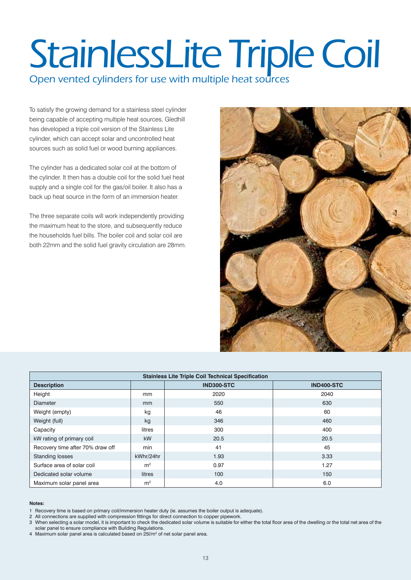# StainlessLite Triple Coil

Open vented cylinders for use with multiple heat sources

To satisfy the growing demand for a stainless steel cylinder being capable of accepting multiple heat sources, Gledhill has developed a triple coil version of the Stainless Lite cylinder, which can accept solar and uncontrolled heat sources such as solid fuel or wood burning appliances.

The cylinder has a dedicated solar coil at the bottom of the cylinder. It then has a double coil for the solid fuel heat supply and a single coil for the gas/oil boiler. It also has a back up heat source in the form of an immersion heater.

The three separate coils will work independently providing the maximum heat to the store, and subsequently reduce the households fuel bills. The boiler coil and solar coil are both 22mm and the solid fuel gravity circulation are 28mm.



| <b>Stainless Lite Triple Coil Technical Specification</b> |                |                   |                   |  |  |  |
|-----------------------------------------------------------|----------------|-------------------|-------------------|--|--|--|
| <b>Description</b>                                        |                | <b>IND300-STC</b> | <b>IND400-STC</b> |  |  |  |
| Height                                                    | mm             | 2020              | 2040              |  |  |  |
| <b>Diameter</b>                                           | mm             | 550               | 630               |  |  |  |
| Weight (empty)                                            | kg             | 46                | 60                |  |  |  |
| Weight (full)                                             | kg             | 346               | 460               |  |  |  |
| Capacity                                                  | litres         | 300               | 400               |  |  |  |
| kW rating of primary coil                                 | kW             | 20.5              | 20.5              |  |  |  |
| Recovery time after 70% draw off                          | min            | 41                | 45                |  |  |  |
| <b>Standing losses</b>                                    | kWhr/24hr      | 1.93              | 3.33              |  |  |  |
| Surface area of solar coil                                | m <sup>2</sup> | 0.97              | 1.27              |  |  |  |
| Dedicated solar volume                                    | litres         | 100               | 150               |  |  |  |
| Maximum solar panel area                                  | m <sup>2</sup> | 4.0               | 6.0               |  |  |  |

#### **Notes:**

1 Recovery time is based on primary coil/immersion heater duty (ie. assumes the boiler output is adequate).

2 All connections are supplied with compression fittings for direct connection to copper pipework.

3 When selecting a solar model, it is important to check the dedicated solar volume is suitable for either the total floor area of the dwelling or the total net area of the solar panel to ensure compliance with Building Regulations.

4 Maximum solar panel area is calculated based on 25I/m<sup>2</sup> of net solar panel area.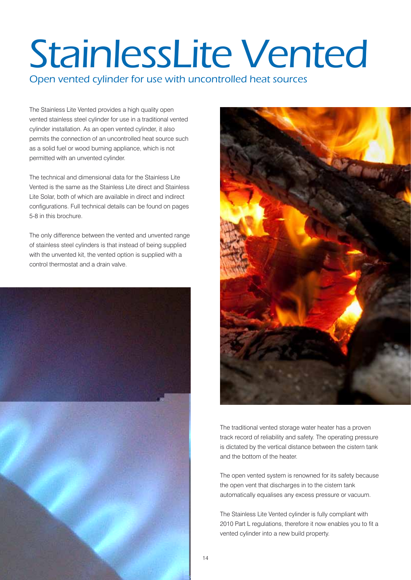# StainlessLite Vented

Open vented cylinder for use with uncontrolled heat sources

The Stainless Lite Vented provides a high quality open vented stainless steel cylinder for use in a traditional vented cylinder installation. As an open vented cylinder, it also permits the connection of an uncontrolled heat source such as a solid fuel or wood burning appliance, which is not permitted with an unvented cylinder.

The technical and dimensional data for the Stainless Lite Vented is the same as the Stainless Lite direct and Stainless Lite Solar, both of which are available in direct and indirect configurations. Full technical details can be found on pages 5-8 in this brochure.

The only difference between the vented and unvented range of stainless steel cylinders is that instead of being supplied with the unvented kit, the vented option is supplied with a control thermostat and a drain valve.





The traditional vented storage water heater has a proven track record of reliability and safety. The operating pressure is dictated by the vertical distance between the cistern tank and the bottom of the heater.

The open vented system is renowned for its safety because the open vent that discharges in to the cistern tank automatically equalises any excess pressure or vacuum.

The Stainless Lite Vented cylinder is fully compliant with 2010 Part L regulations, therefore it now enables you to fit a vented cylinder into a new build property.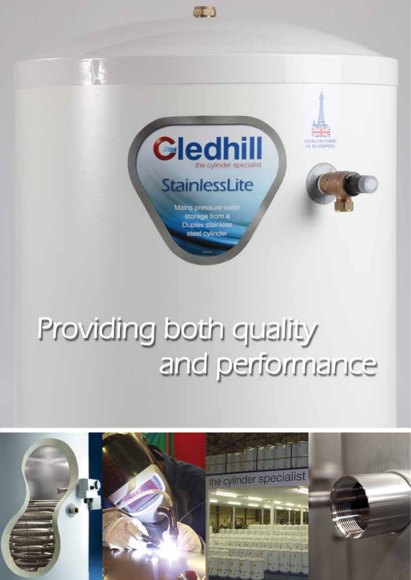

a di

Mains pressure water storage from a **Duplex stainless** steel cylinder

MANUFACTURED